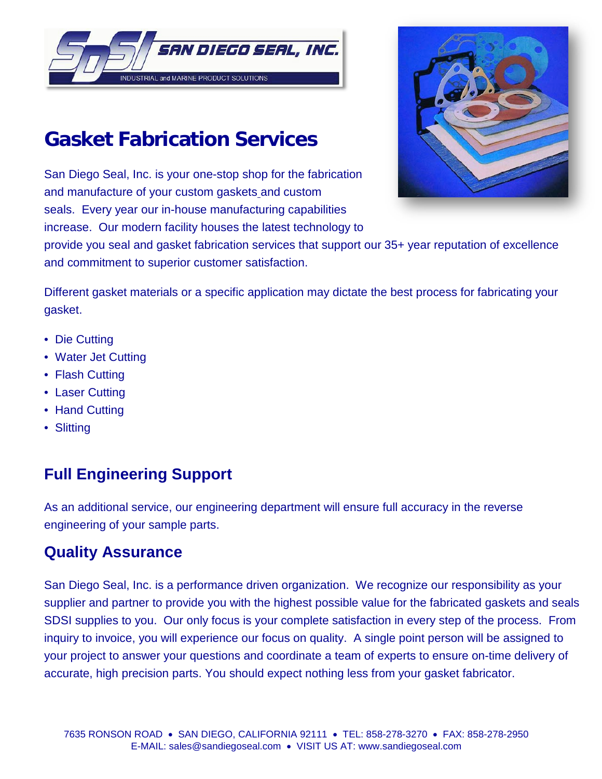

# **Gasket Fabrication Services**

San Diego Seal, Inc. is your one-stop shop for the fabrication and manufacture of your custom gaskets and custom seals. Every year our in-house manufacturing capabilities increase. Our modern facility houses the latest technology to



provide you seal and gasket fabrication services that support our 35+ year reputation of excellence and commitment to superior customer satisfaction.

Different gasket materials or a specific application may dictate the best process for fabricating your gasket.

- Die Cutting
- Water Jet Cutting
- [Flash Cutting](http://www.henniggasket.com/flash-cutting)
- Laser Cutting
- Hand Cutting
- Slitting

# **Full Engineering Support**

As an additional service, our engineering department will ensure full accuracy in the reverse engineering of your sample parts.

# **Quality Assurance**

San Diego Seal, Inc. is a performance driven organization. We recognize our responsibility as your supplier and partner to provide you with the highest possible value for the fabricated gaskets and seals SDSI supplies to you. Our only focus is your complete satisfaction in every step of the process. From inquiry to invoice, you will experience our focus on quality. A single point person will be assigned to your project to answer your questions and coordinate a team of experts to ensure on-time delivery of accurate, high precision parts. You should expect nothing less from your gasket fabricator.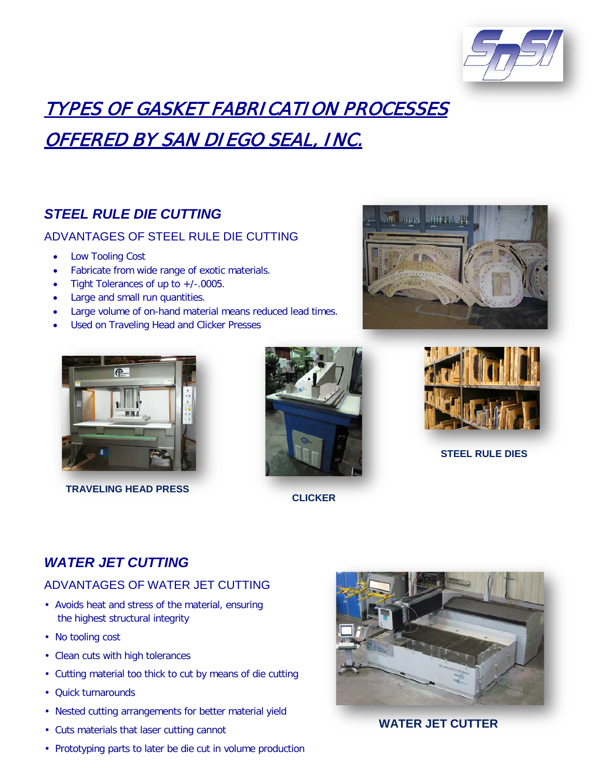

# TYPES OF GASKET FABRICATION PROCESSES OFFERED BY SAN DIEGO SEAL, INC.

# *STEEL RULE DIE CUTTING*

### ADVANTAGES OF STEEL RULE DIE CUTTING

- Low Tooling Cost
- Fabricate from wide range of exotic materials.
- Tight Tolerances of up to +/-.0005.
- Large and small run quantities.
- Large volume of on-hand material means reduced lead times.
- Used on Traveling Head and Clicker Presses





 **TRAVELING HEAD PRESS**



**CLICKER**



**STEEL RULE DIES**

# *WATER JET CUTTING*

### ADVANTAGES OF WATER JET CUTTING

- Avoids heat and stress of the material, ensuring the highest structural integrity
- No tooling cost
- Clean cuts with high tolerances
- Cutting material too thick to cut by means of die cutting
- Quick turnarounds
- Nested cutting arrangements for better material yield
- Cuts materials that laser cutting cannot
- Prototyping parts to later be die cut in volume production



### **WATER JET CUTTER**